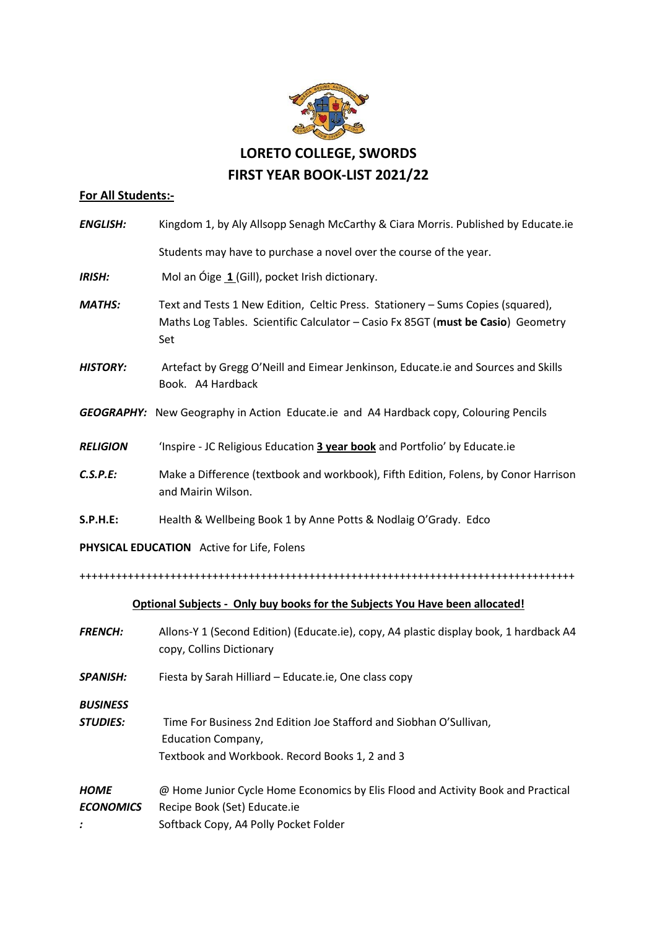

## **For All Students:-**

| <b>ENGLISH:</b>                                                              | Kingdom 1, by Aly Allsopp Senagh McCarthy & Ciara Morris. Published by Educate.ie                                                                                          |
|------------------------------------------------------------------------------|----------------------------------------------------------------------------------------------------------------------------------------------------------------------------|
|                                                                              | Students may have to purchase a novel over the course of the year.                                                                                                         |
| <b>IRISH:</b>                                                                | Mol an Óige 1 (Gill), pocket Irish dictionary.                                                                                                                             |
| <b>MATHS:</b>                                                                | Text and Tests 1 New Edition, Celtic Press. Stationery - Sums Copies (squared),<br>Maths Log Tables. Scientific Calculator - Casio Fx 85GT (must be Casio) Geometry<br>Set |
| <b>HISTORY:</b>                                                              | Artefact by Gregg O'Neill and Eimear Jenkinson, Educate.ie and Sources and Skills<br>Book. A4 Hardback                                                                     |
|                                                                              | GEOGRAPHY: New Geography in Action Educate.ie and A4 Hardback copy, Colouring Pencils                                                                                      |
| <b>RELIGION</b>                                                              | 'Inspire - JC Religious Education 3 year book and Portfolio' by Educate.ie                                                                                                 |
| C.S.P.E:                                                                     | Make a Difference (textbook and workbook), Fifth Edition, Folens, by Conor Harrison<br>and Mairin Wilson.                                                                  |
| <b>S.P.H.E:</b>                                                              | Health & Wellbeing Book 1 by Anne Potts & Nodlaig O'Grady. Edco                                                                                                            |
| PHYSICAL EDUCATION Active for Life, Folens                                   |                                                                                                                                                                            |
|                                                                              |                                                                                                                                                                            |
| Optional Subjects - Only buy books for the Subjects You Have been allocated! |                                                                                                                                                                            |
| <b>FRENCH:</b>                                                               | Allons-Y 1 (Second Edition) (Educate.ie), copy, A4 plastic display book, 1 hardback A4<br>copy, Collins Dictionary                                                         |
| <b>SPANISH:</b>                                                              | Fiesta by Sarah Hilliard - Educate.ie, One class copy                                                                                                                      |
| <b>BUSINESS</b><br><b>STUDIES:</b>                                           | Time For Business 2nd Edition Joe Stafford and Siobhan O'Sullivan,<br><b>Education Company,</b><br>Textbook and Workbook. Record Books 1, 2 and 3                          |

*HOME* @ Home Junior Cycle Home Economics by Elis Flood and Activity Book and Practical *ECONOMICS* Recipe Book (Set) Educate.ie *:* Softback Copy, A4 Polly Pocket Folder